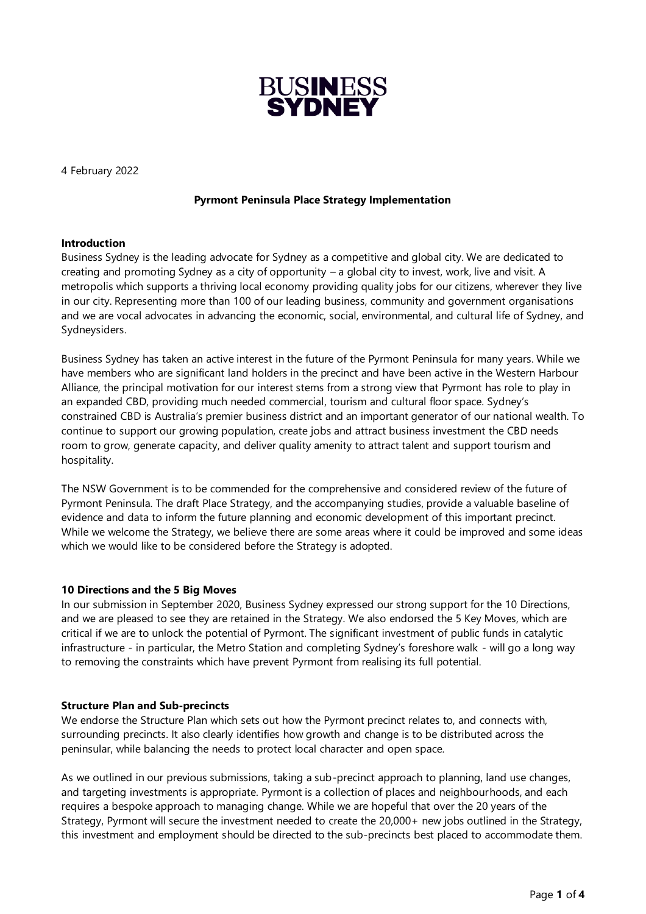

4 February 2022

# **Pyrmont Peninsula Place Strategy Implementation**

## **Introduction**

Business Sydney is the leading advocate for Sydney as a competitive and global city. We are dedicated to creating and promoting Sydney as a city of opportunity – a global city to invest, work, live and visit. A metropolis which supports a thriving local economy providing quality jobs for our citizens, wherever they live in our city. Representing more than 100 of our leading business, community and government organisations and we are vocal advocates in advancing the economic, social, environmental, and cultural life of Sydney, and Sydneysiders.

Business Sydney has taken an active interest in the future of the Pyrmont Peninsula for many years. While we have members who are significant land holders in the precinct and have been active in the Western Harbour Alliance, the principal motivation for our interest stems from a strong view that Pyrmont has role to play in an expanded CBD, providing much needed commercial, tourism and cultural floor space. Sydney's constrained CBD is Australia's premier business district and an important generator of our national wealth. To continue to support our growing population, create jobs and attract business investment the CBD needs room to grow, generate capacity, and deliver quality amenity to attract talent and support tourism and hospitality.

The NSW Government is to be commended for the comprehensive and considered review of the future of Pyrmont Peninsula. The draft Place Strategy, and the accompanying studies, provide a valuable baseline of evidence and data to inform the future planning and economic development of this important precinct. While we welcome the Strategy, we believe there are some areas where it could be improved and some ideas which we would like to be considered before the Strategy is adopted.

## **10 Directions and the 5 Big Moves**

In our submission in September 2020, Business Sydney expressed our strong support for the 10 Directions, and we are pleased to see they are retained in the Strategy. We also endorsed the 5 Key Moves, which are critical if we are to unlock the potential of Pyrmont. The significant investment of public funds in catalytic infrastructure - in particular, the Metro Station and completing Sydney's foreshore walk - will go a long way to removing the constraints which have prevent Pyrmont from realising its full potential.

## **Structure Plan and Sub-precincts**

We endorse the Structure Plan which sets out how the Pyrmont precinct relates to, and connects with, surrounding precincts. It also clearly identifies how growth and change is to be distributed across the peninsular, while balancing the needs to protect local character and open space.

As we outlined in our previous submissions, taking a sub-precinct approach to planning, land use changes, and targeting investments is appropriate. Pyrmont is a collection of places and neighbourhoods, and each requires a bespoke approach to managing change. While we are hopeful that over the 20 years of the Strategy, Pyrmont will secure the investment needed to create the 20,000+ new jobs outlined in the Strategy, this investment and employment should be directed to the sub-precincts best placed to accommodate them.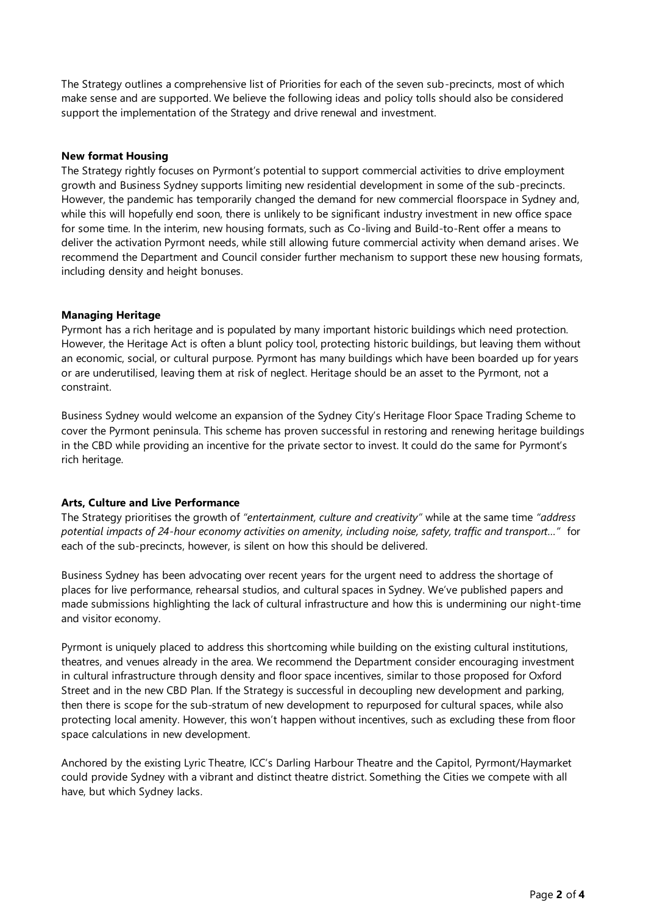The Strategy outlines a comprehensive list of Priorities for each of the seven sub-precincts, most of which make sense and are supported. We believe the following ideas and policy tolls should also be considered support the implementation of the Strategy and drive renewal and investment.

# **New format Housing**

The Strategy rightly focuses on Pyrmont's potential to support commercial activities to drive employment growth and Business Sydney supports limiting new residential development in some of the sub-precincts. However, the pandemic has temporarily changed the demand for new commercial floorspace in Sydney and, while this will hopefully end soon, there is unlikely to be significant industry investment in new office space for some time. In the interim, new housing formats, such as Co-living and Build-to-Rent offer a means to deliver the activation Pyrmont needs, while still allowing future commercial activity when demand arises . We recommend the Department and Council consider further mechanism to support these new housing formats, including density and height bonuses.

## **Managing Heritage**

Pyrmont has a rich heritage and is populated by many important historic buildings which need protection. However, the Heritage Act is often a blunt policy tool, protecting historic buildings, but leaving them without an economic, social, or cultural purpose. Pyrmont has many buildings which have been boarded up for years or are underutilised, leaving them at risk of neglect. Heritage should be an asset to the Pyrmont, not a constraint.

Business Sydney would welcome an expansion of the Sydney City's Heritage Floor Space Trading Scheme to cover the Pyrmont peninsula. This scheme has proven successful in restoring and renewing heritage buildings in the CBD while providing an incentive for the private sector to invest. It could do the same for Pyrmont's rich heritage.

# **Arts, Culture and Live Performance**

The Strategy prioritises the growth of *"entertainment, culture and creativity"* while at the same time *"address potential impacts of 24-hour economy activities on amenity, including noise, safety, traffic and transport…"* for each of the sub-precincts, however, is silent on how this should be delivered.

Business Sydney has been advocating over recent years for the urgent need to address the shortage of places for live performance, rehearsal studios, and cultural spaces in Sydney. We've published papers and made submissions highlighting the lack of cultural infrastructure and how this is undermining our night-time and visitor economy.

Pyrmont is uniquely placed to address this shortcoming while building on the existing cultural institutions, theatres, and venues already in the area. We recommend the Department consider encouraging investment in cultural infrastructure through density and floor space incentives, similar to those proposed for Oxford Street and in the new CBD Plan. If the Strategy is successful in decoupling new development and parking, then there is scope for the sub-stratum of new development to repurposed for cultural spaces, while also protecting local amenity. However, this won't happen without incentives, such as excluding these from floor space calculations in new development.

Anchored by the existing Lyric Theatre, ICC's Darling Harbour Theatre and the Capitol, Pyrmont/Haymarket could provide Sydney with a vibrant and distinct theatre district. Something the Cities we compete with all have, but which Sydney lacks.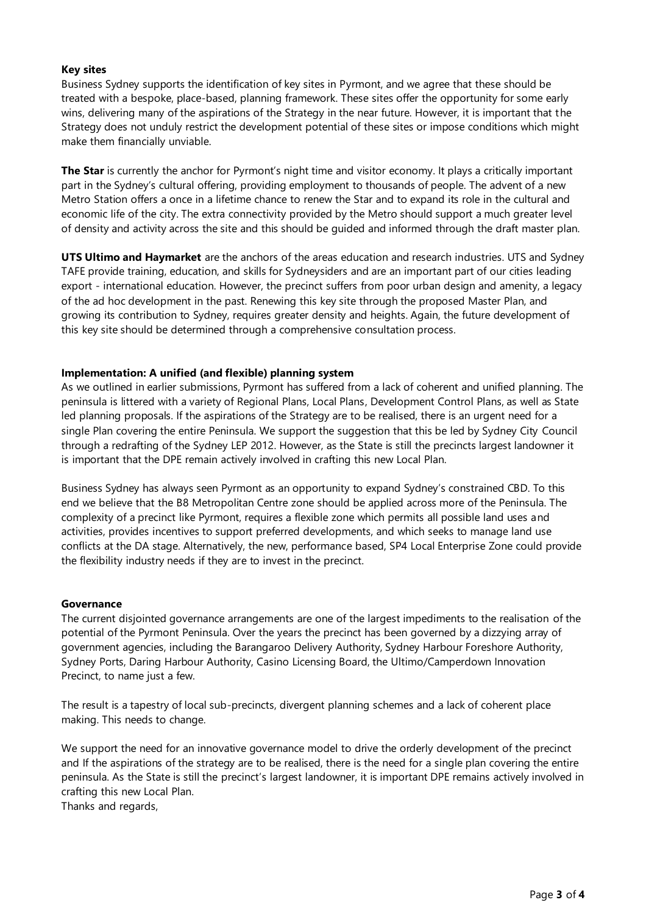# **Key sites**

Business Sydney supports the identification of key sites in Pyrmont, and we agree that these should be treated with a bespoke, place-based, planning framework. These sites offer the opportunity for some early wins, delivering many of the aspirations of the Strategy in the near future. However, it is important that the Strategy does not unduly restrict the development potential of these sites or impose conditions which might make them financially unviable.

**The Star** is currently the anchor for Pyrmont's night time and visitor economy. It plays a critically important part in the Sydney's cultural offering, providing employment to thousands of people. The advent of a new Metro Station offers a once in a lifetime chance to renew the Star and to expand its role in the cultural and economic life of the city. The extra connectivity provided by the Metro should support a much greater level of density and activity across the site and this should be guided and informed through the draft master plan.

**UTS Ultimo and Haymarket** are the anchors of the areas education and research industries. UTS and Sydney TAFE provide training, education, and skills for Sydneysiders and are an important part of our cities leading export - international education. However, the precinct suffers from poor urban design and amenity, a legacy of the ad hoc development in the past. Renewing this key site through the proposed Master Plan, and growing its contribution to Sydney, requires greater density and heights. Again, the future development of this key site should be determined through a comprehensive consultation process.

# **Implementation: A unified (and flexible) planning system**

As we outlined in earlier submissions, Pyrmont has suffered from a lack of coherent and unified planning. The peninsula is littered with a variety of Regional Plans, Local Plans, Development Control Plans, as well as State led planning proposals. If the aspirations of the Strategy are to be realised, there is an urgent need for a single Plan covering the entire Peninsula. We support the suggestion that this be led by Sydney City Council through a redrafting of the Sydney LEP 2012. However, as the State is still the precincts largest landowner it is important that the DPE remain actively involved in crafting this new Local Plan.

Business Sydney has always seen Pyrmont as an opportunity to expand Sydney's constrained CBD. To this end we believe that the B8 Metropolitan Centre zone should be applied across more of the Peninsula. The complexity of a precinct like Pyrmont, requires a flexible zone which permits all possible land uses and activities, provides incentives to support preferred developments, and which seeks to manage land use conflicts at the DA stage. Alternatively, the new, performance based, SP4 Local Enterprise Zone could provide the flexibility industry needs if they are to invest in the precinct.

## **Governance**

The current disjointed governance arrangements are one of the largest impediments to the realisation of the potential of the Pyrmont Peninsula. Over the years the precinct has been governed by a dizzying array of government agencies, including the Barangaroo Delivery Authority, Sydney Harbour Foreshore Authority, Sydney Ports, Daring Harbour Authority, Casino Licensing Board, the Ultimo/Camperdown Innovation Precinct, to name just a few.

The result is a tapestry of local sub-precincts, divergent planning schemes and a lack of coherent place making. This needs to change.

We support the need for an innovative governance model to drive the orderly development of the precinct and If the aspirations of the strategy are to be realised, there is the need for a single plan covering the entire peninsula. As the State is still the precinct's largest landowner, it is important DPE remains actively involved in crafting this new Local Plan.

Thanks and regards,